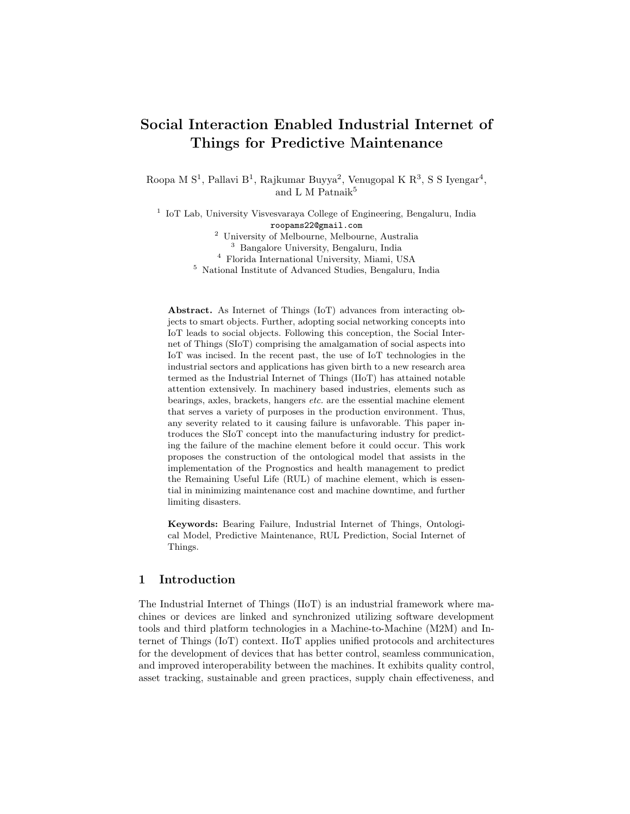# Social Interaction Enabled Industrial Internet of Things for Predictive Maintenance

Roopa M  $S^1$ , Pallavi  $B^1$ , Rajkumar Buyya<sup>2</sup>, Venugopal K  $R^3$ , S S Iyengar<sup>4</sup>, and L M Patnaik $^5$ 

<sup>1</sup> IoT Lab, University Visvesvaraya College of Engineering, Bengaluru, India roopams22@gmail.com

<sup>2</sup> University of Melbourne, Melbourne, Australia

<sup>3</sup> Bangalore University, Bengaluru, India

<sup>4</sup> Florida International University, Miami, USA

<sup>5</sup> National Institute of Advanced Studies, Bengaluru, India

Abstract. As Internet of Things (IoT) advances from interacting objects to smart objects. Further, adopting social networking concepts into IoT leads to social objects. Following this conception, the Social Internet of Things (SIoT) comprising the amalgamation of social aspects into IoT was incised. In the recent past, the use of IoT technologies in the industrial sectors and applications has given birth to a new research area termed as the Industrial Internet of Things (IIoT) has attained notable attention extensively. In machinery based industries, elements such as bearings, axles, brackets, hangers etc. are the essential machine element that serves a variety of purposes in the production environment. Thus, any severity related to it causing failure is unfavorable. This paper introduces the SIoT concept into the manufacturing industry for predicting the failure of the machine element before it could occur. This work proposes the construction of the ontological model that assists in the implementation of the Prognostics and health management to predict the Remaining Useful Life (RUL) of machine element, which is essential in minimizing maintenance cost and machine downtime, and further limiting disasters.

Keywords: Bearing Failure, Industrial Internet of Things, Ontological Model, Predictive Maintenance, RUL Prediction, Social Internet of Things.

### 1 Introduction

The Industrial Internet of Things (IIoT) is an industrial framework where machines or devices are linked and synchronized utilizing software development tools and third platform technologies in a Machine-to-Machine (M2M) and Internet of Things (IoT) context. IIoT applies unified protocols and architectures for the development of devices that has better control, seamless communication, and improved interoperability between the machines. It exhibits quality control, asset tracking, sustainable and green practices, supply chain effectiveness, and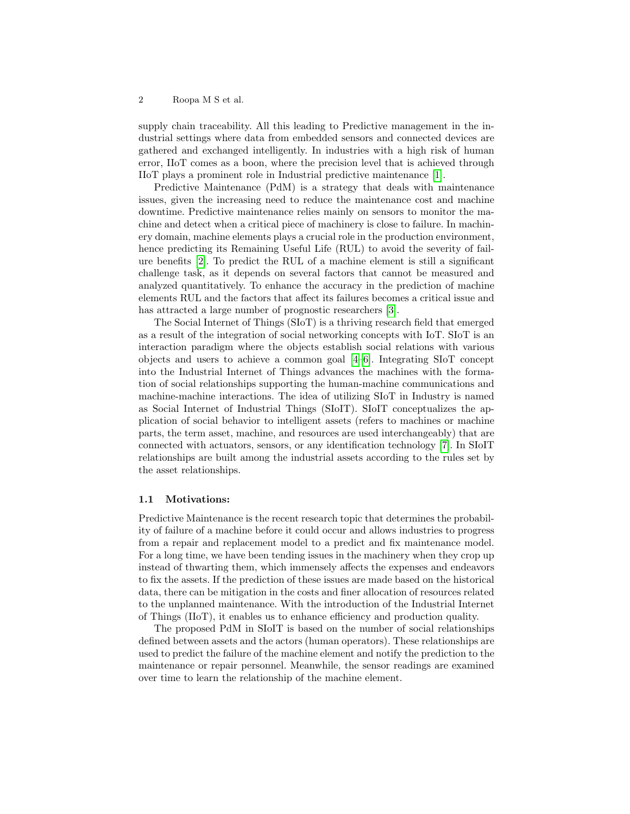supply chain traceability. All this leading to Predictive management in the industrial settings where data from embedded sensors and connected devices are gathered and exchanged intelligently. In industries with a high risk of human error, IIoT comes as a boon, where the precision level that is achieved through IIoT plays a prominent role in Industrial predictive maintenance [\[1\]](#page-10-0).

Predictive Maintenance (PdM) is a strategy that deals with maintenance issues, given the increasing need to reduce the maintenance cost and machine downtime. Predictive maintenance relies mainly on sensors to monitor the machine and detect when a critical piece of machinery is close to failure. In machinery domain, machine elements plays a crucial role in the production environment, hence predicting its Remaining Useful Life (RUL) to avoid the severity of failure benefits [\[2\]](#page-10-1). To predict the RUL of a machine element is still a significant challenge task, as it depends on several factors that cannot be measured and analyzed quantitatively. To enhance the accuracy in the prediction of machine elements RUL and the factors that affect its failures becomes a critical issue and has attracted a large number of prognostic researchers [\[3\]](#page-10-2).

The Social Internet of Things (SIoT) is a thriving research field that emerged as a result of the integration of social networking concepts with IoT. SIoT is an interaction paradigm where the objects establish social relations with various objects and users to achieve a common goal [\[4](#page-10-3)[–6\]](#page-10-4). Integrating SIoT concept into the Industrial Internet of Things advances the machines with the formation of social relationships supporting the human-machine communications and machine-machine interactions. The idea of utilizing SIoT in Industry is named as Social Internet of Industrial Things (SIoIT). SIoIT conceptualizes the application of social behavior to intelligent assets (refers to machines or machine parts, the term asset, machine, and resources are used interchangeably) that are connected with actuators, sensors, or any identification technology [\[7\]](#page-11-0). In SIoIT relationships are built among the industrial assets according to the rules set by the asset relationships.

#### 1.1 Motivations:

Predictive Maintenance is the recent research topic that determines the probability of failure of a machine before it could occur and allows industries to progress from a repair and replacement model to a predict and fix maintenance model. For a long time, we have been tending issues in the machinery when they crop up instead of thwarting them, which immensely affects the expenses and endeavors to fix the assets. If the prediction of these issues are made based on the historical data, there can be mitigation in the costs and finer allocation of resources related to the unplanned maintenance. With the introduction of the Industrial Internet of Things (IIoT), it enables us to enhance efficiency and production quality.

The proposed PdM in SIoIT is based on the number of social relationships defined between assets and the actors (human operators). These relationships are used to predict the failure of the machine element and notify the prediction to the maintenance or repair personnel. Meanwhile, the sensor readings are examined over time to learn the relationship of the machine element.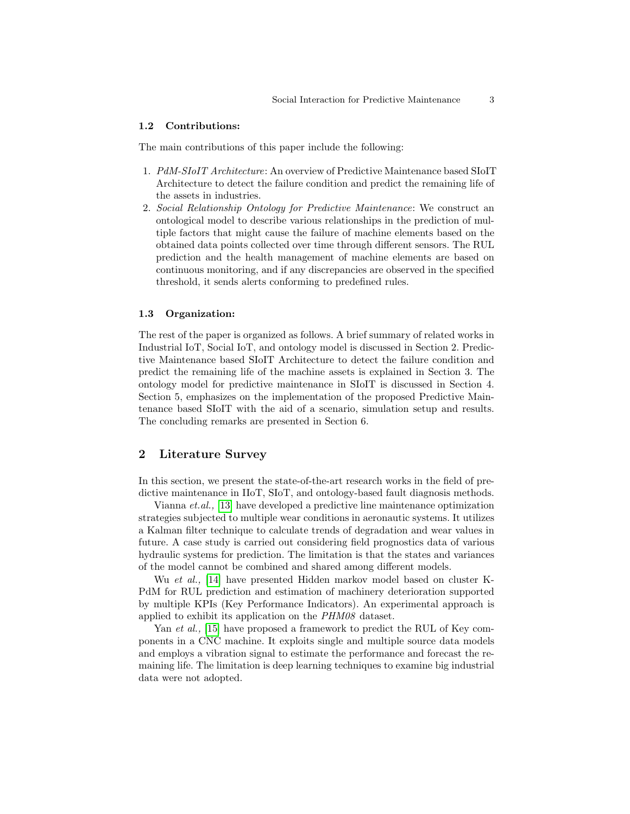#### 1.2 Contributions:

The main contributions of this paper include the following:

- 1. PdM-SIoIT Architecture: An overview of Predictive Maintenance based SIoIT Architecture to detect the failure condition and predict the remaining life of the assets in industries.
- 2. Social Relationship Ontology for Predictive Maintenance: We construct an ontological model to describe various relationships in the prediction of multiple factors that might cause the failure of machine elements based on the obtained data points collected over time through different sensors. The RUL prediction and the health management of machine elements are based on continuous monitoring, and if any discrepancies are observed in the specified threshold, it sends alerts conforming to predefined rules.

#### 1.3 Organization:

The rest of the paper is organized as follows. A brief summary of related works in Industrial IoT, Social IoT, and ontology model is discussed in Section 2. Predictive Maintenance based SIoIT Architecture to detect the failure condition and predict the remaining life of the machine assets is explained in Section 3. The ontology model for predictive maintenance in SIoIT is discussed in Section 4. Section 5, emphasizes on the implementation of the proposed Predictive Maintenance based SIoIT with the aid of a scenario, simulation setup and results. The concluding remarks are presented in Section 6.

### 2 Literature Survey

In this section, we present the state-of-the-art research works in the field of predictive maintenance in IIoT, SIoT, and ontology-based fault diagnosis methods.

Vianna et.al., [\[13\]](#page-11-1) have developed a predictive line maintenance optimization strategies subjected to multiple wear conditions in aeronautic systems. It utilizes a Kalman filter technique to calculate trends of degradation and wear values in future. A case study is carried out considering field prognostics data of various hydraulic systems for prediction. The limitation is that the states and variances of the model cannot be combined and shared among different models.

Wu et al., [\[14\]](#page-11-2) have presented Hidden markov model based on cluster K-PdM for RUL prediction and estimation of machinery deterioration supported by multiple KPIs (Key Performance Indicators). An experimental approach is applied to exhibit its application on the PHM08 dataset.

Yan *et al.*, [\[15\]](#page-11-3) have proposed a framework to predict the RUL of Key components in a CNC machine. It exploits single and multiple source data models and employs a vibration signal to estimate the performance and forecast the remaining life. The limitation is deep learning techniques to examine big industrial data were not adopted.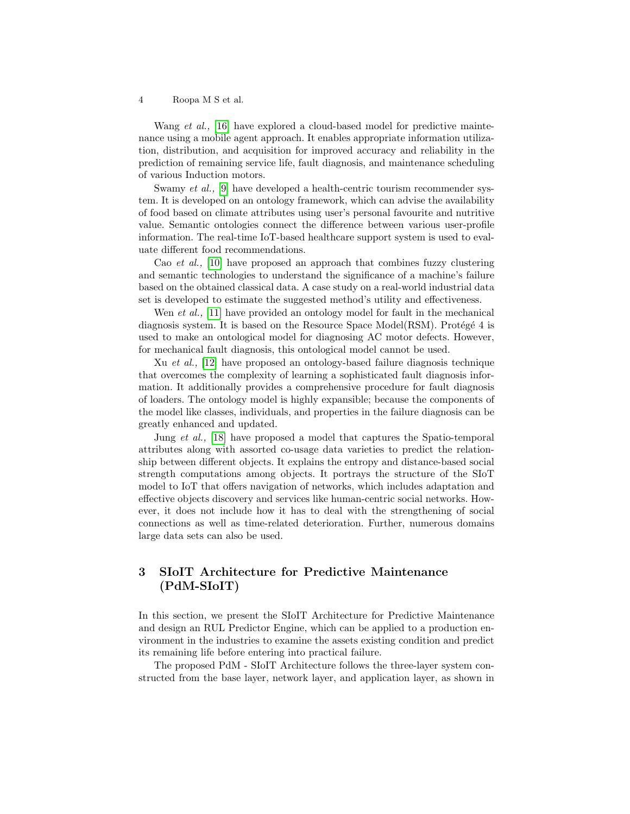Wang *et al.*, [\[16\]](#page-11-4) have explored a cloud-based model for predictive maintenance using a mobile agent approach. It enables appropriate information utilization, distribution, and acquisition for improved accuracy and reliability in the prediction of remaining service life, fault diagnosis, and maintenance scheduling of various Induction motors.

Swamy *et al.*, [\[9\]](#page-11-5) have developed a health-centric tourism recommender system. It is developed on an ontology framework, which can advise the availability of food based on climate attributes using user's personal favourite and nutritive value. Semantic ontologies connect the difference between various user-profile information. The real-time IoT-based healthcare support system is used to evaluate different food recommendations.

Cao et al., [\[10\]](#page-11-6) have proposed an approach that combines fuzzy clustering and semantic technologies to understand the significance of a machine's failure based on the obtained classical data. A case study on a real-world industrial data set is developed to estimate the suggested method's utility and effectiveness.

Wen *et al.*, [\[11\]](#page-11-7) have provided an ontology model for fault in the mechanical diagnosis system. It is based on the Resource Space Model(RSM). Protégé 4 is used to make an ontological model for diagnosing AC motor defects. However, for mechanical fault diagnosis, this ontological model cannot be used.

Xu et al., [\[12\]](#page-11-8) have proposed an ontology-based failure diagnosis technique that overcomes the complexity of learning a sophisticated fault diagnosis information. It additionally provides a comprehensive procedure for fault diagnosis of loaders. The ontology model is highly expansible; because the components of the model like classes, individuals, and properties in the failure diagnosis can be greatly enhanced and updated.

Jung et al., [\[18\]](#page-11-9) have proposed a model that captures the Spatio-temporal attributes along with assorted co-usage data varieties to predict the relationship between different objects. It explains the entropy and distance-based social strength computations among objects. It portrays the structure of the SIoT model to IoT that offers navigation of networks, which includes adaptation and effective objects discovery and services like human-centric social networks. However, it does not include how it has to deal with the strengthening of social connections as well as time-related deterioration. Further, numerous domains large data sets can also be used.

## 3 SIoIT Architecture for Predictive Maintenance (PdM-SIoIT)

In this section, we present the SIoIT Architecture for Predictive Maintenance and design an RUL Predictor Engine, which can be applied to a production environment in the industries to examine the assets existing condition and predict its remaining life before entering into practical failure.

The proposed PdM - SIoIT Architecture follows the three-layer system constructed from the base layer, network layer, and application layer, as shown in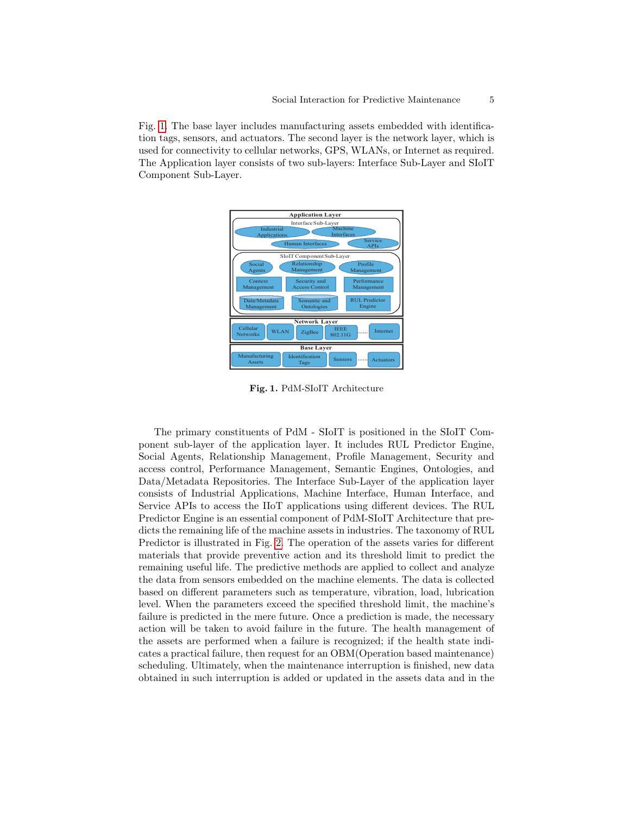Fig. [1.](#page-4-0) The base layer includes manufacturing assets embedded with identification tags, sensors, and actuators. The second layer is the network layer, which is used for connectivity to cellular networks, GPS, WLANs, or Internet as required. The Application layer consists of two sub-layers: Interface Sub-Layer and SIoIT Component Sub-Layer.



<span id="page-4-0"></span>Fig. 1. PdM-SIoIT Architecture

The primary constituents of PdM - SIoIT is positioned in the SIoIT Component sub-layer of the application layer. It includes RUL Predictor Engine, Social Agents, Relationship Management, Profile Management, Security and access control, Performance Management, Semantic Engines, Ontologies, and Data/Metadata Repositories. The Interface Sub-Layer of the application layer consists of Industrial Applications, Machine Interface, Human Interface, and Service APIs to access the IIoT applications using different devices. The RUL Predictor Engine is an essential component of PdM-SIoIT Architecture that predicts the remaining life of the machine assets in industries. The taxonomy of RUL Predictor is illustrated in Fig. [2.](#page-5-0) The operation of the assets varies for different materials that provide preventive action and its threshold limit to predict the remaining useful life. The predictive methods are applied to collect and analyze the data from sensors embedded on the machine elements. The data is collected based on different parameters such as temperature, vibration, load, lubrication level. When the parameters exceed the specified threshold limit, the machine's failure is predicted in the mere future. Once a prediction is made, the necessary action will be taken to avoid failure in the future. The health management of the assets are performed when a failure is recognized; if the health state indicates a practical failure, then request for an OBM(Operation based maintenance) scheduling. Ultimately, when the maintenance interruption is finished, new data obtained in such interruption is added or updated in the assets data and in the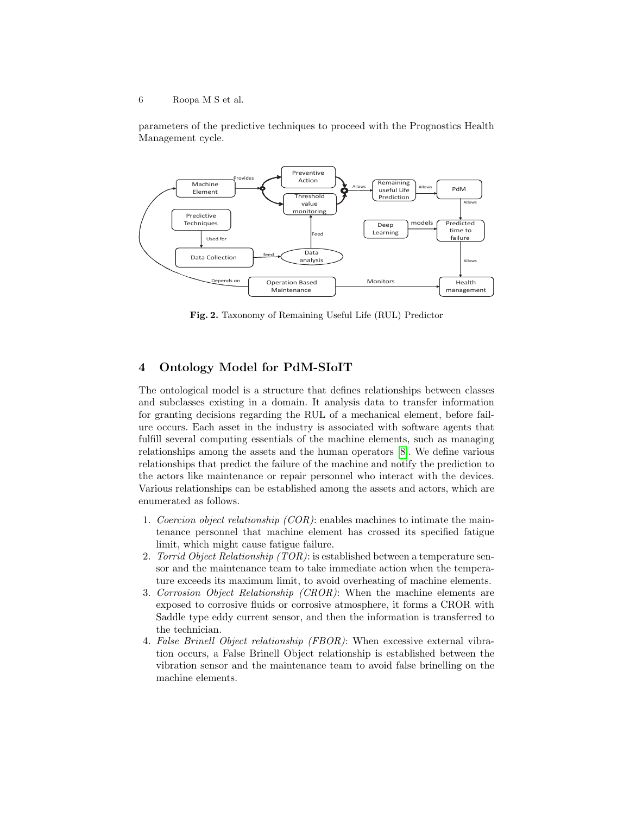parameters of the predictive techniques to proceed with the Prognostics Health Management cycle.



<span id="page-5-0"></span>Fig. 2. Taxonomy of Remaining Useful Life (RUL) Predictor

### 4 Ontology Model for PdM-SIoIT

The ontological model is a structure that defines relationships between classes and subclasses existing in a domain. It analysis data to transfer information for granting decisions regarding the RUL of a mechanical element, before failure occurs. Each asset in the industry is associated with software agents that fulfill several computing essentials of the machine elements, such as managing relationships among the assets and the human operators [\[8\]](#page-11-10). We define various relationships that predict the failure of the machine and notify the prediction to the actors like maintenance or repair personnel who interact with the devices. Various relationships can be established among the assets and actors, which are enumerated as follows.

- 1. Coercion object relationship  $(COR)$ : enables machines to intimate the maintenance personnel that machine element has crossed its specified fatigue limit, which might cause fatigue failure.
- 2. Torrid Object Relationship  $(TOR)$ : is established between a temperature sensor and the maintenance team to take immediate action when the temperature exceeds its maximum limit, to avoid overheating of machine elements.
- 3. Corrosion Object Relationship (CROR): When the machine elements are exposed to corrosive fluids or corrosive atmosphere, it forms a CROR with Saddle type eddy current sensor, and then the information is transferred to the technician.
- 4. False Brinell Object relationship (FBOR): When excessive external vibration occurs, a False Brinell Object relationship is established between the vibration sensor and the maintenance team to avoid false brinelling on the machine elements.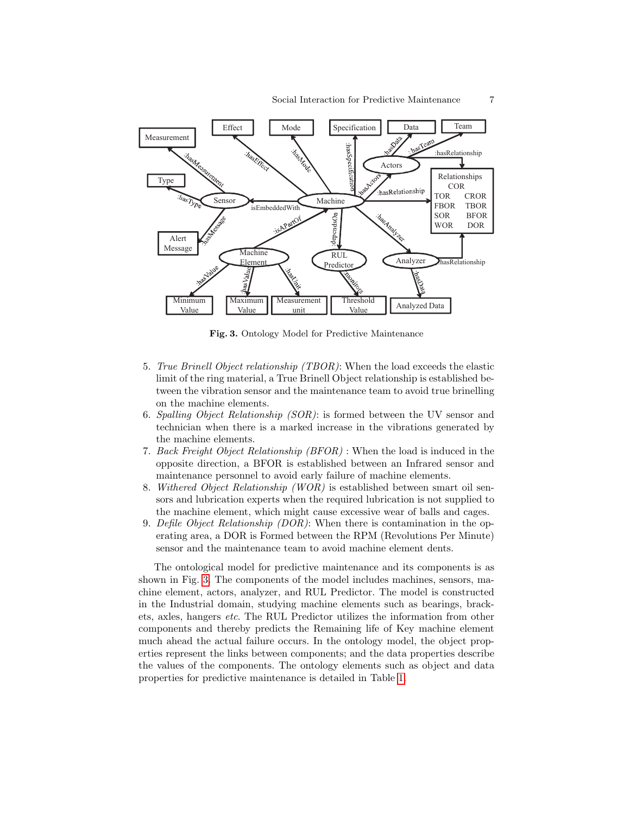

<span id="page-6-0"></span>Fig. 3. Ontology Model for Predictive Maintenance

- 5. True Brinell Object relationship (TBOR): When the load exceeds the elastic limit of the ring material, a True Brinell Object relationship is established between the vibration sensor and the maintenance team to avoid true brinelling on the machine elements.
- 6. Spalling Object Relationship  $(SOR)$ : is formed between the UV sensor and technician when there is a marked increase in the vibrations generated by the machine elements.
- 7. Back Freight Object Relationship (BFOR) : When the load is induced in the opposite direction, a BFOR is established between an Infrared sensor and maintenance personnel to avoid early failure of machine elements.
- 8. Withered Object Relationship (WOR) is established between smart oil sensors and lubrication experts when the required lubrication is not supplied to the machine element, which might cause excessive wear of balls and cages.
- 9. Defile Object Relationship (DOR): When there is contamination in the operating area, a DOR is Formed between the RPM (Revolutions Per Minute) sensor and the maintenance team to avoid machine element dents.

The ontological model for predictive maintenance and its components is as shown in Fig. [3.](#page-6-0) The components of the model includes machines, sensors, machine element, actors, analyzer, and RUL Predictor. The model is constructed in the Industrial domain, studying machine elements such as bearings, brackets, axles, hangers etc. The RUL Predictor utilizes the information from other components and thereby predicts the Remaining life of Key machine element much ahead the actual failure occurs. In the ontology model, the object properties represent the links between components; and the data properties describe the values of the components. The ontology elements such as object and data properties for predictive maintenance is detailed in Table [1.](#page-7-0)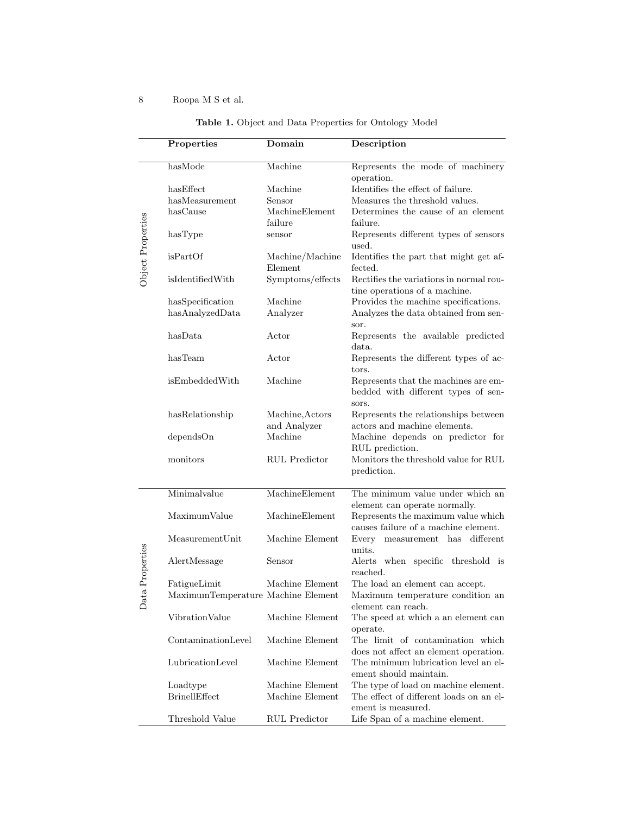|                   | Properties                         | Domain                          | Description                                                                                                                 |
|-------------------|------------------------------------|---------------------------------|-----------------------------------------------------------------------------------------------------------------------------|
|                   | hasMode                            | Machine                         | Represents the mode of machinery<br>operation.                                                                              |
|                   | hasEffect                          | Machine                         | Identifies the effect of failure.                                                                                           |
| Object Properties | hasMeasurement                     | Sensor                          | Measures the threshold values.                                                                                              |
|                   | hasCause                           | MachineElement                  | Determines the cause of an element                                                                                          |
|                   |                                    | failure                         | failure.                                                                                                                    |
|                   | hasType                            | sensor                          | Represents different types of sensors<br>used.                                                                              |
|                   | isPartOf                           | Machine/Machine<br>Element      | Identifies the part that might get af-<br>fected.                                                                           |
|                   | isIdentifiedWith                   | Symptoms/effects                | Rectifies the variations in normal rou-<br>tine operations of a machine.                                                    |
|                   | hasSpecification                   | Machine                         | Provides the machine specifications.                                                                                        |
|                   | hasAnalyzedData                    | Analyzer                        | Analyzes the data obtained from sen-<br>sor.                                                                                |
|                   | hasData                            | Actor                           | Represents the available predicted<br>data.                                                                                 |
|                   | has Team                           | Actor                           | Represents the different types of ac-<br>tors.                                                                              |
|                   | isEmbeddedWith                     | Machine                         | Represents that the machines are em-<br>bedded with different types of sen-<br>sors.                                        |
|                   | hasRelationship                    | Machine, Actors<br>and Analyzer | Represents the relationships between<br>actors and machine elements.                                                        |
|                   | dependsOn                          | Machine                         | Machine depends on predictor for<br>RUL prediction.                                                                         |
|                   | monitors                           | <b>RUL</b> Predictor            | Monitors the threshold value for RUL<br>prediction.                                                                         |
|                   | Minimalvalue                       | MachineElement                  | The minimum value under which an                                                                                            |
|                   | MaximumValue                       | MachineElement                  | element can operate normally.<br>Represents the maximum value which $% \mathcal{N}$<br>causes failure of a machine element. |
|                   | MeasurementUnit                    | Machine Element                 | measurement has different<br>Every<br>units.                                                                                |
| ata Properties    | AlertMessage                       | Sensor                          | Alerts when specific threshold is<br>reached.                                                                               |
|                   | FatigueLimit                       | Machine Element                 | The load an element can accept.                                                                                             |
| ≏                 | MaximumTemperature Machine Element |                                 | Maximum temperature condition an<br>element can reach.                                                                      |
|                   | VibrationValue                     | Machine Element                 | The speed at which a an element can<br>operate.                                                                             |
|                   | ContaminationLevel                 | Machine Element                 | The limit of contamination which<br>does not affect an element operation.                                                   |
|                   | $LubricationLevel$                 | Machine Element                 | The minimum lubrication level an el-<br>ement should maintain.                                                              |
|                   | Loadtype                           | Machine Element                 | The type of load on machine element.                                                                                        |
|                   | <b>BrinellEffect</b>               | Machine Element                 | The effect of different loads on an el-<br>ement is measured.                                                               |
|                   | Threshold Value                    | RUL Predictor                   | Life Span of a machine element.                                                                                             |

### <span id="page-7-0"></span>Table 1. Object and Data Properties for Ontology Model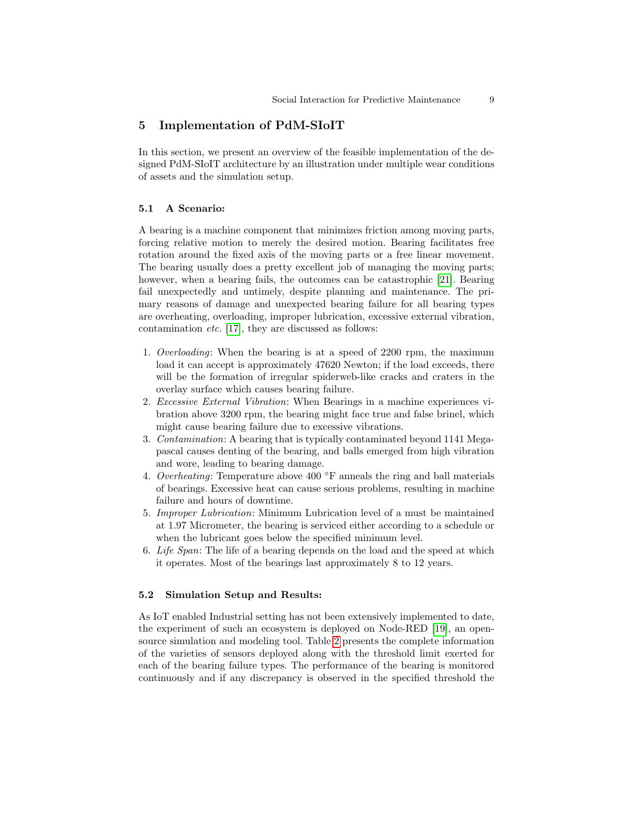### 5 Implementation of PdM-SIoIT

In this section, we present an overview of the feasible implementation of the designed PdM-SIoIT architecture by an illustration under multiple wear conditions of assets and the simulation setup.

### 5.1 A Scenario:

A bearing is a machine component that minimizes friction among moving parts, forcing relative motion to merely the desired motion. Bearing facilitates free rotation around the fixed axis of the moving parts or a free linear movement. The bearing usually does a pretty excellent job of managing the moving parts; however, when a bearing fails, the outcomes can be catastrophic [\[21\]](#page-11-11). Bearing fail unexpectedly and untimely, despite planning and maintenance. The primary reasons of damage and unexpected bearing failure for all bearing types are overheating, overloading, improper lubrication, excessive external vibration, contamination etc. [\[17\]](#page-11-12), they are discussed as follows:

- 1. Overloading: When the bearing is at a speed of 2200 rpm, the maximum load it can accept is approximately 47620 Newton; if the load exceeds, there will be the formation of irregular spiderweb-like cracks and craters in the overlay surface which causes bearing failure.
- 2. Excessive External Vibration: When Bearings in a machine experiences vibration above 3200 rpm, the bearing might face true and false brinel, which might cause bearing failure due to excessive vibrations.
- 3. Contamination: A bearing that is typically contaminated beyond 1141 Megapascal causes denting of the bearing, and balls emerged from high vibration and wore, leading to bearing damage.
- 4. Overheating: Temperature above 400  $\degree$ F anneals the ring and ball materials of bearings. Excessive heat can cause serious problems, resulting in machine failure and hours of downtime.
- 5. Improper Lubrication: Minimum Lubrication level of a must be maintained at 1.97 Micrometer, the bearing is serviced either according to a schedule or when the lubricant goes below the specified minimum level.
- 6. Life Span: The life of a bearing depends on the load and the speed at which it operates. Most of the bearings last approximately 8 to 12 years.

### 5.2 Simulation Setup and Results:

As IoT enabled Industrial setting has not been extensively implemented to date, the experiment of such an ecosystem is deployed on Node-RED [\[19\]](#page-11-13), an opensource simulation and modeling tool. Table [2](#page-9-0) presents the complete information of the varieties of sensors deployed along with the threshold limit exerted for each of the bearing failure types. The performance of the bearing is monitored continuously and if any discrepancy is observed in the specified threshold the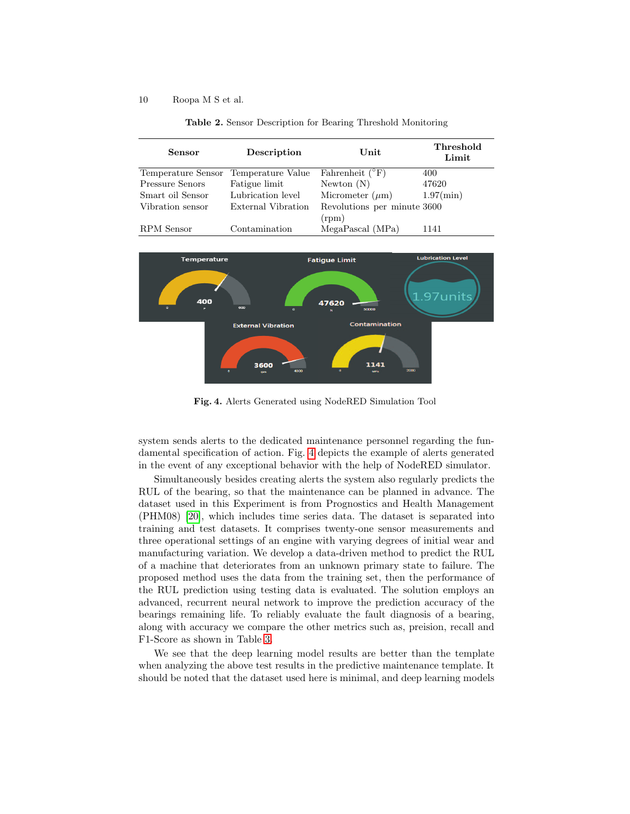| Sensor             | Description        | Unit                                 | Threshold<br>Limit |
|--------------------|--------------------|--------------------------------------|--------------------|
| Temperature Sensor | Temperature Value  | Fahrenheit $(^{\circ}F)$             | 400                |
| Pressure Senors    | Fatigue limit      | Newton $(N)$                         | 47620              |
| Smart oil Sensor   | Lubrication level  | Micrometer $(\mu m)$                 | $1.97$ (min)       |
| Vibration sensor   | External Vibration | Revolutions per minute 3600<br>(rpm) |                    |
| RPM Sensor         | Contamination      | MegaPascal (MPa)                     | 1141               |

<span id="page-9-0"></span>Table 2. Sensor Description for Bearing Threshold Monitoring



<span id="page-9-1"></span>Fig. 4. Alerts Generated using NodeRED Simulation Tool

system sends alerts to the dedicated maintenance personnel regarding the fundamental specification of action. Fig. [4](#page-9-1) depicts the example of alerts generated in the event of any exceptional behavior with the help of NodeRED simulator.

Simultaneously besides creating alerts the system also regularly predicts the RUL of the bearing, so that the maintenance can be planned in advance. The dataset used in this Experiment is from Prognostics and Health Management (PHM08) [\[20\]](#page-11-14), which includes time series data. The dataset is separated into training and test datasets. It comprises twenty-one sensor measurements and three operational settings of an engine with varying degrees of initial wear and manufacturing variation. We develop a data-driven method to predict the RUL of a machine that deteriorates from an unknown primary state to failure. The proposed method uses the data from the training set, then the performance of the RUL prediction using testing data is evaluated. The solution employs an advanced, recurrent neural network to improve the prediction accuracy of the bearings remaining life. To reliably evaluate the fault diagnosis of a bearing, along with accuracy we compare the other metrics such as, preision, recall and F1-Score as shown in Table [3.](#page-10-5)

We see that the deep learning model results are better than the template when analyzing the above test results in the predictive maintenance template. It should be noted that the dataset used here is minimal, and deep learning models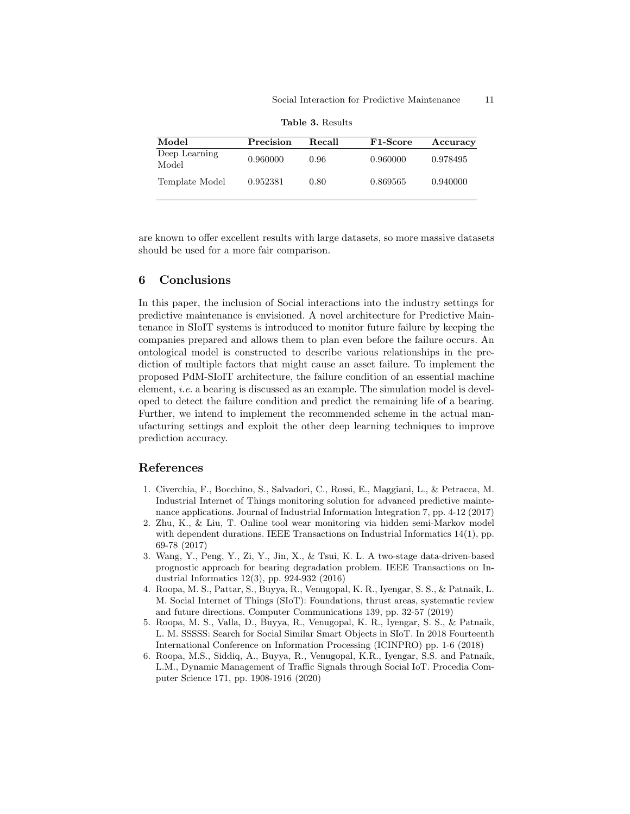| Model                  | Precision | Recall | F <sub>1</sub> -Score | Accuracy |
|------------------------|-----------|--------|-----------------------|----------|
| Deep Learning<br>Model | 0.960000  | 0.96   | 0.960000              | 0.978495 |
| Template Model         | 0.952381  | 0.80   | 0.869565              | 0.940000 |

<span id="page-10-5"></span>Table 3. Results

are known to offer excellent results with large datasets, so more massive datasets should be used for a more fair comparison.

### 6 Conclusions

In this paper, the inclusion of Social interactions into the industry settings for predictive maintenance is envisioned. A novel architecture for Predictive Maintenance in SIoIT systems is introduced to monitor future failure by keeping the companies prepared and allows them to plan even before the failure occurs. An ontological model is constructed to describe various relationships in the prediction of multiple factors that might cause an asset failure. To implement the proposed PdM-SIoIT architecture, the failure condition of an essential machine element, i.e. a bearing is discussed as an example. The simulation model is developed to detect the failure condition and predict the remaining life of a bearing. Further, we intend to implement the recommended scheme in the actual manufacturing settings and exploit the other deep learning techniques to improve prediction accuracy.

### References

- <span id="page-10-0"></span>1. Civerchia, F., Bocchino, S., Salvadori, C., Rossi, E., Maggiani, L., & Petracca, M. Industrial Internet of Things monitoring solution for advanced predictive maintenance applications. Journal of Industrial Information Integration 7, pp. 4-12 (2017)
- <span id="page-10-1"></span>2. Zhu, K., & Liu, T. Online tool wear monitoring via hidden semi-Markov model with dependent durations. IEEE Transactions on Industrial Informatics 14(1), pp. 69-78 (2017)
- <span id="page-10-2"></span>3. Wang, Y., Peng, Y., Zi, Y., Jin, X., & Tsui, K. L. A two-stage data-driven-based prognostic approach for bearing degradation problem. IEEE Transactions on Industrial Informatics 12(3), pp. 924-932 (2016)
- <span id="page-10-3"></span>4. Roopa, M. S., Pattar, S., Buyya, R., Venugopal, K. R., Iyengar, S. S., & Patnaik, L. M. Social Internet of Things (SIoT): Foundations, thrust areas, systematic review and future directions. Computer Communications 139, pp. 32-57 (2019)
- 5. Roopa, M. S., Valla, D., Buyya, R., Venugopal, K. R., Iyengar, S. S., & Patnaik, L. M. SSSSS: Search for Social Similar Smart Objects in SIoT. In 2018 Fourteenth International Conference on Information Processing (ICINPRO) pp. 1-6 (2018)
- <span id="page-10-4"></span>6. Roopa, M.S., Siddiq, A., Buyya, R., Venugopal, K.R., Iyengar, S.S. and Patnaik, L.M., Dynamic Management of Traffic Signals through Social IoT. Procedia Computer Science 171, pp. 1908-1916 (2020)